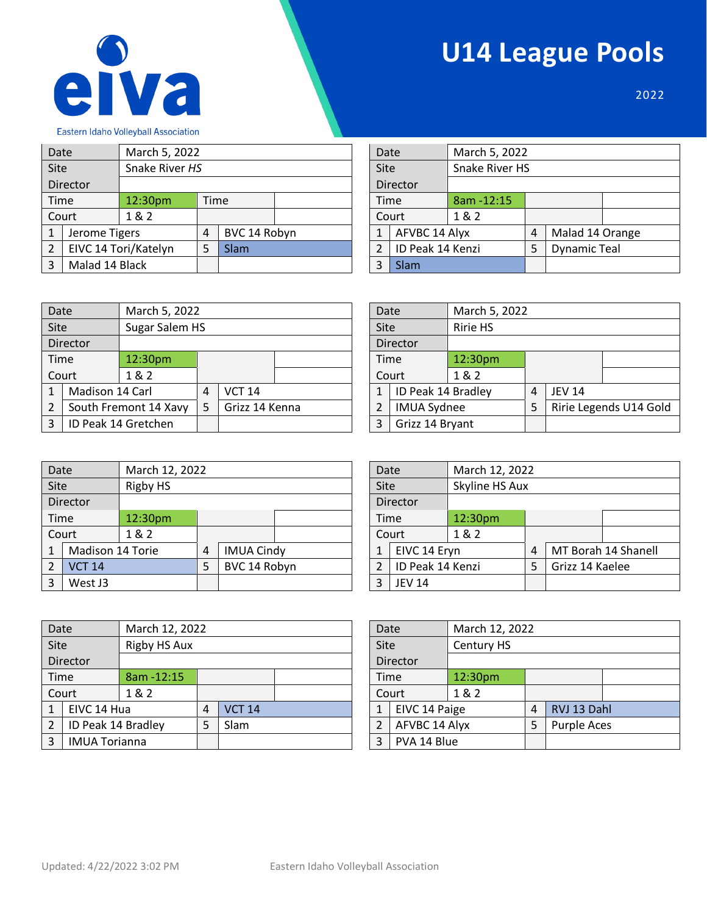



2022

| Date                |                      | March 5, 2022   |   |              |  |      | Date |                  | March 5, 2022  |   |                     |  |
|---------------------|----------------------|-----------------|---|--------------|--|------|------|------------------|----------------|---|---------------------|--|
| Site                |                      | Snake River HS  |   |              |  |      | Site |                  | Snake River HS |   |                     |  |
|                     | Director             |                 |   |              |  |      |      | Director         |                |   |                     |  |
|                     | Time                 | 12:30pm<br>Time |   |              |  | Time |      | 8am - 12:15      |                |   |                     |  |
|                     | Court                | 1&2             |   |              |  |      |      | Court            | 1&2            |   |                     |  |
| 1                   | Jerome Tigers        |                 | 4 | BVC 14 Robyn |  |      | 1    | AFVBC 14 Alyx    |                | 4 | Malad 14 Orange     |  |
| $\overline{2}$      | EIVC 14 Tori/Katelyn |                 | 5 | Slam         |  |      | 2    | ID Peak 14 Kenzi |                | 5 | <b>Dynamic Teal</b> |  |
| Malad 14 Black<br>3 |                      |                 |   |              |  | 3    | Slam |                  |                |   |                     |  |

| Date           |                  | March 5, 2022  |   |                     |  |  |  |  |
|----------------|------------------|----------------|---|---------------------|--|--|--|--|
| Site           |                  | Snake River HS |   |                     |  |  |  |  |
|                | Director         |                |   |                     |  |  |  |  |
| Time           |                  | 8am - 12:15    |   |                     |  |  |  |  |
| Court          |                  | 1 & 2          |   |                     |  |  |  |  |
| $\mathbf{1}$   | AFVBC 14 Alyx    |                | 4 | Malad 14 Orange     |  |  |  |  |
| $\overline{2}$ | ID Peak 14 Kenzi |                | 5 | <b>Dynamic Teal</b> |  |  |  |  |
| 3              | Slam             |                |   |                     |  |  |  |  |

Date **March 5, 2022** 

1 | ID Peak 14 Bradley  $\begin{array}{|c|c|c|c|c|} \hline 1 & \text{JEV 14} \ \hline \end{array}$ 

| Date |                     |                       | March 5, 2022  |                 |  |  |      | Date               | March 5,        |
|------|---------------------|-----------------------|----------------|-----------------|--|--|------|--------------------|-----------------|
| Site |                     | Sugar Salem HS        |                |                 |  |  | Site |                    | <b>Ririe HS</b> |
|      | Director            |                       |                | <b>Director</b> |  |  |      |                    |                 |
|      | Time                | 12:30pm               |                |                 |  |  | Time |                    | 12:30pm         |
|      | Court               | 1&2                   |                |                 |  |  |      | Court              | 1 & 2           |
|      | Madison 14 Carl     |                       | $\overline{4}$ | <b>VCT 14</b>   |  |  |      | ID Peak 14 Bradley |                 |
| 2    |                     | South Fremont 14 Xavy |                | Grizz 14 Kenna  |  |  |      | <b>IMUA Sydnee</b> |                 |
| 3    | ID Peak 14 Gretchen |                       |                |                 |  |  | ξ    | Grizz 14 Bryant    |                 |

| Date           |                  |          | March 12, 2022 |                   |  |      | Date             |                     | March 12, 2022 |   |                 |                     |  |  |
|----------------|------------------|----------|----------------|-------------------|--|------|------------------|---------------------|----------------|---|-----------------|---------------------|--|--|
| <b>Site</b>    |                  | Rigby HS |                |                   |  |      | Site             |                     | Skyline HS Aux |   |                 |                     |  |  |
|                | Director         |          |                | Director          |  |      |                  |                     |                |   |                 |                     |  |  |
|                | Time             | 12:30pm  |                |                   |  | Time |                  | 12:30 <sub>pm</sub> |                |   |                 |                     |  |  |
|                | Court            | 1 & 2    |                |                   |  |      |                  | Court               | 1&2            |   |                 |                     |  |  |
|                | Madison 14 Torie |          | 4              | <b>IMUA Cindy</b> |  |      |                  | EIVC 14 Eryn        |                | 4 |                 | MT Borah 14 Shanell |  |  |
| $\mathfrak{p}$ | <b>VCT 14</b>    |          | 5              | BVC 14 Robyn      |  |      | ID Peak 14 Kenzi |                     |                | 5 | Grizz 14 Kaelee |                     |  |  |
| West J3<br>3   |                  |          |                |                   |  |      | <b>JEV 14</b>    |                     |                |   |                 |                     |  |  |

| Date |                      | March 12, 2022 |   |               |  |                                 | Date         |               | March 12, 2022 |                    |             |  |
|------|----------------------|----------------|---|---------------|--|---------------------------------|--------------|---------------|----------------|--------------------|-------------|--|
| Site |                      | Rigby HS Aux   |   |               |  |                                 | Site         |               | Century HS     |                    |             |  |
|      | Director             |                |   |               |  |                                 |              | Director      |                |                    |             |  |
| Time |                      | 8am - 12:15    |   |               |  |                                 | Time         |               | 12:30pm        |                    |             |  |
|      | Court                | 1&2            |   |               |  |                                 |              | Court         | 1 & 2          |                    |             |  |
|      | EIVC 14 Hua          |                | 4 | <b>VCT 14</b> |  |                                 | $\mathbf{1}$ | EIVC 14 Paige |                | 4                  | RVJ 13 Dahl |  |
|      | ID Peak 14 Bradley   | <b>Slam</b>    |   |               |  | AFVBC 14 Alyx<br>$\overline{2}$ |              |               | 5              | <b>Purple Aces</b> |             |  |
| 3    | <b>IMUA Torianna</b> |                |   |               |  | 3                               | PVA 14 Blue  |               |                |                    |             |  |

| $\overline{3}$ | Grizz 14 Bryant  |                |   |                     |  |  |  |
|----------------|------------------|----------------|---|---------------------|--|--|--|
|                |                  |                |   |                     |  |  |  |
|                |                  |                |   |                     |  |  |  |
| Date           |                  | March 12, 2022 |   |                     |  |  |  |
| Site           |                  | Skyline HS Aux |   |                     |  |  |  |
| Director       |                  |                |   |                     |  |  |  |
| Time           |                  | 12:30pm        |   |                     |  |  |  |
|                | Court            | 1&2            |   |                     |  |  |  |
| $\mathbf{1}$   | EIVC 14 Eryn     |                | 4 | MT Borah 14 Shanell |  |  |  |
| 2              | ID Peak 14 Kenzi |                |   | Grizz 14 Kaelee     |  |  |  |

2 MUA Sydnee 5 Ririe Legends U14 Gold

| Date           |               | March 12, 2022 |   |                    |  |
|----------------|---------------|----------------|---|--------------------|--|
| Site           |               | Century HS     |   |                    |  |
|                | Director      |                |   |                    |  |
| Time           |               | 12:30pm        |   |                    |  |
| Court          |               | 1 & 2          |   |                    |  |
| $\mathbf{1}$   | EIVC 14 Paige |                | 4 | RVJ 13 Dahl        |  |
| $\overline{2}$ | AFVBC 14 Alyx |                | 5 | <b>Purple Aces</b> |  |
| 3              | PVA 14 Blue   |                |   |                    |  |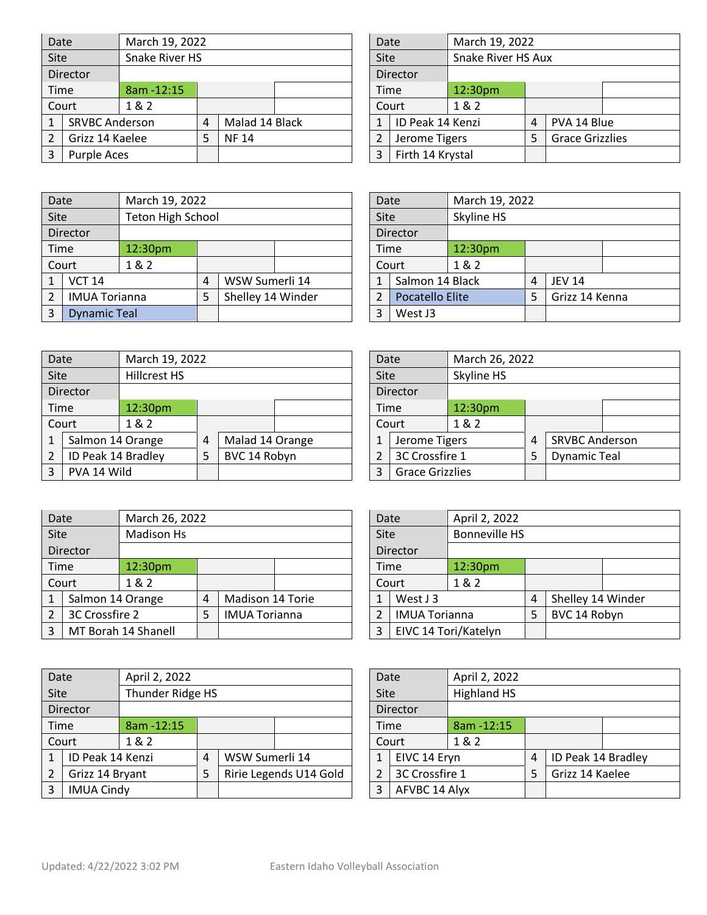| Date        |                       |             | March 19, 2022 |                |  |       |                  |                  |                    | March 19, 2022         |             |  |
|-------------|-----------------------|-------------|----------------|----------------|--|-------|------------------|------------------|--------------------|------------------------|-------------|--|
| Site        |                       |             | Snake River HS |                |  |       | <b>Site</b>      |                  | Snake River HS Aux |                        |             |  |
|             | Director              |             |                |                |  |       |                  | Director         |                    |                        |             |  |
|             | <b>Time</b>           | 8am - 12:15 |                |                |  |       | Time             |                  | 12:30pm            |                        |             |  |
|             | Court                 | 1&2         |                |                |  | Court |                  |                  | 1&2                |                        |             |  |
|             | <b>SRVBC Anderson</b> |             | 4              | Malad 14 Black |  |       |                  | ID Peak 14 Kenzi |                    | 4                      | PVA 14 Blue |  |
|             | Grizz 14 Kaelee       | <b>NF14</b> |                |                |  | 2     | Jerome Tigers    |                  |                    | <b>Grace Grizzlies</b> |             |  |
| Purple Aces |                       |             |                |                |  | 3     | Firth 14 Krystal |                  |                    |                        |             |  |

| Date             |         |                  |                        |                    |
|------------------|---------|------------------|------------------------|--------------------|
| Site             |         |                  |                        |                    |
| Director         |         |                  |                        |                    |
| Time             | 12:30pm |                  |                        |                    |
| Court            | 1 & 2   |                  |                        |                    |
|                  |         | 4                | PVA 14 Blue            |                    |
| Jerome Tigers    |         | 5                | <b>Grace Grizzlies</b> |                    |
| Firth 14 Krystal |         |                  |                        |                    |
|                  |         | ID Peak 14 Kenzi | March 19, 2022         | Snake River HS Aux |

| Date                     |                      |                   | March 19, 2022 |                   |  |   |         | March 19, 2022<br>Date |            |   |                |  |  |
|--------------------------|----------------------|-------------------|----------------|-------------------|--|---|---------|------------------------|------------|---|----------------|--|--|
| Site                     |                      | Teton High School |                |                   |  |   | Site    |                        | Skyline HS |   |                |  |  |
|                          | Director             |                   |                |                   |  |   |         | Director               |            |   |                |  |  |
|                          | Time                 | 12:30pm           |                |                   |  |   | Time    |                        | 12:30pm    |   |                |  |  |
|                          | Court                | 1&2               |                |                   |  |   |         | Court                  | 1&2        |   |                |  |  |
|                          | <b>VCT 14</b>        |                   | 4              | WSW Sumerli 14    |  |   |         | Salmon 14 Black        |            | 4 | <b>JEV 14</b>  |  |  |
| $\mathfrak{p}$           | <b>IMUA Torianna</b> |                   | 5              | Shelley 14 Winder |  |   |         | Pocatello Elite        |            | 5 | Grizz 14 Kenna |  |  |
| 3<br><b>Dynamic Teal</b> |                      |                   |                |                   |  | 3 | West J3 |                        |            |   |                |  |  |

| Date            |                        | March 19, 2022 |   |                |  |
|-----------------|------------------------|----------------|---|----------------|--|
| Site            |                        | Skyline HS     |   |                |  |
| <b>Director</b> |                        |                |   |                |  |
| Time<br>12:30pm |                        |                |   |                |  |
| Court           |                        | 1 & 2          |   |                |  |
| 1               | Salmon 14 Black        |                | 4 | <b>JEV 14</b>  |  |
| $\overline{2}$  | <b>Pocatello Elite</b> |                | 5 | Grizz 14 Kenna |  |
| 3               | West J3                |                |   |                |  |
|                 |                        |                |   |                |  |

| Date           |                    |              | March 19, 2022    |                 |  |                                  |              | March 26, 2022<br>Date |            |                     |                       |  |
|----------------|--------------------|--------------|-------------------|-----------------|--|----------------------------------|--------------|------------------------|------------|---------------------|-----------------------|--|
| <b>Site</b>    |                    | Hillcrest HS |                   |                 |  |                                  | <b>Site</b>  |                        | Skyline HS |                     |                       |  |
|                | Director           |              |                   |                 |  |                                  |              | Director               |            |                     |                       |  |
|                | Time               | 12:30pm      |                   |                 |  |                                  |              | Time                   | 12:30pm    |                     |                       |  |
|                | Court              | 1&2          |                   |                 |  |                                  | Court        |                        | 1&2        |                     |                       |  |
| 1              | Salmon 14 Orange   |              | 4                 | Malad 14 Orange |  |                                  | $\mathbf{1}$ | Jerome Tigers          |            | 4                   | <b>SRVBC Anderson</b> |  |
| $\overline{2}$ | ID Peak 14 Bradley |              | BVC 14 Robyn<br>5 |                 |  | 3C Crossfire 1<br>$\overline{2}$ |              |                        | 5          | <b>Dynamic Teal</b> |                       |  |
| 3              | PVA 14 Wild        |              |                   |                 |  |                                  | 3            | <b>Grace Grizzlies</b> |            |                     |                       |  |

| Date         |                        | March 26, 2022 |   |                       |  |
|--------------|------------------------|----------------|---|-----------------------|--|
| Site         |                        | Skyline HS     |   |                       |  |
|              | Director               |                |   |                       |  |
| Time         |                        | 12:30pm        |   |                       |  |
|              | Court                  | 1 & 2          |   |                       |  |
| $\mathbf{1}$ | Jerome Tigers          |                | 4 | <b>SRVBC Anderson</b> |  |
| 2            | 3C Crossfire 1         |                | 5 | <b>Dynamic Teal</b>   |  |
| 3            | <b>Grace Grizzlies</b> |                |   |                       |  |

| Date |                  | March 26, 2022      |                           |                  |      | Date                 |          | April 2, 2022        |              |                   |  |  |
|------|------------------|---------------------|---------------------------|------------------|------|----------------------|----------|----------------------|--------------|-------------------|--|--|
| Site |                  | <b>Madison Hs</b>   |                           |                  |      | Site                 |          | <b>Bonneville HS</b> |              |                   |  |  |
|      | Director         |                     |                           |                  |      |                      | Director |                      |              |                   |  |  |
|      | <b>Time</b>      | 12:30pm             |                           |                  | Time | 12:30pm              |          |                      |              |                   |  |  |
|      | Court<br>1 & 2   |                     |                           |                  |      |                      | Court    | 1 & 2                |              |                   |  |  |
|      | Salmon 14 Orange |                     | 4                         | Madison 14 Torie |      |                      | West J 3 |                      | 4            | Shelley 14 Winder |  |  |
|      | 3C Crossfire 2   |                     | <b>IMUA Torianna</b><br>5 |                  |      | <b>IMUA Torianna</b> |          | 5                    | BVC 14 Robyn |                   |  |  |
| 3    |                  | MT Borah 14 Shanell |                           | 3                |      | EIVC 14 Tori/Katelyn |          |                      |              |                   |  |  |

| Date           |                  | April 2, 2022               |   |                |  |                | Date          |              | April 2, 2022      |   |                    |  |
|----------------|------------------|-----------------------------|---|----------------|--|----------------|---------------|--------------|--------------------|---|--------------------|--|
| Site           |                  | Thunder Ridge HS            |   |                |  |                | Site          |              | <b>Highland HS</b> |   |                    |  |
|                | Director         |                             |   |                |  |                |               | Director     |                    |   |                    |  |
| Time           |                  | $8am - 12:15$               |   |                |  |                | Time          |              | 8am - 12:15        |   |                    |  |
|                | Court            | 1& 2                        |   |                |  |                | Court         |              | 1&2                |   |                    |  |
|                | ID Peak 14 Kenzi |                             | 4 | WSW Sumerli 14 |  |                |               | EIVC 14 Eryn |                    | 4 | ID Peak 14 Bradley |  |
| $\mathfrak{p}$ | Grizz 14 Bryant  | Ririe Legends U14 Gold<br>5 |   |                |  | 3C Crossfire 1 |               | 5            | Grizz 14 Kaelee    |   |                    |  |
| 3              |                  | <b>IMUA Cindy</b>           |   |                |  | 3              | AFVBC 14 Alyx |              |                    |   |                    |  |

| Date           |                      | April 2, 2022        |   |                   |  |
|----------------|----------------------|----------------------|---|-------------------|--|
| Site           |                      | <b>Bonneville HS</b> |   |                   |  |
|                | Director             |                      |   |                   |  |
| Time           |                      | 12:30pm              |   |                   |  |
|                | Court                | 1 & 2                |   |                   |  |
| $\mathbf{1}$   | West J 3             |                      | 4 | Shelley 14 Winder |  |
| $\overline{2}$ | <b>IMUA Torianna</b> |                      | 5 | BVC 14 Robyn      |  |
| 3              | EIVC 14 Tori/Katelyn |                      |   |                   |  |

|      | April 2, 2022<br>Date |                    |   |                    |  |
|------|-----------------------|--------------------|---|--------------------|--|
| Site |                       | <b>Highland HS</b> |   |                    |  |
|      | Director              |                    |   |                    |  |
| Time |                       | 8am - 12:15        |   |                    |  |
|      | Court                 | 1&2                |   |                    |  |
| 1    | EIVC 14 Eryn          |                    | 4 | ID Peak 14 Bradley |  |
| 2    | 3C Crossfire 1        |                    | 5 | Grizz 14 Kaelee    |  |
| 3    | AFVBC 14 Alyx         |                    |   |                    |  |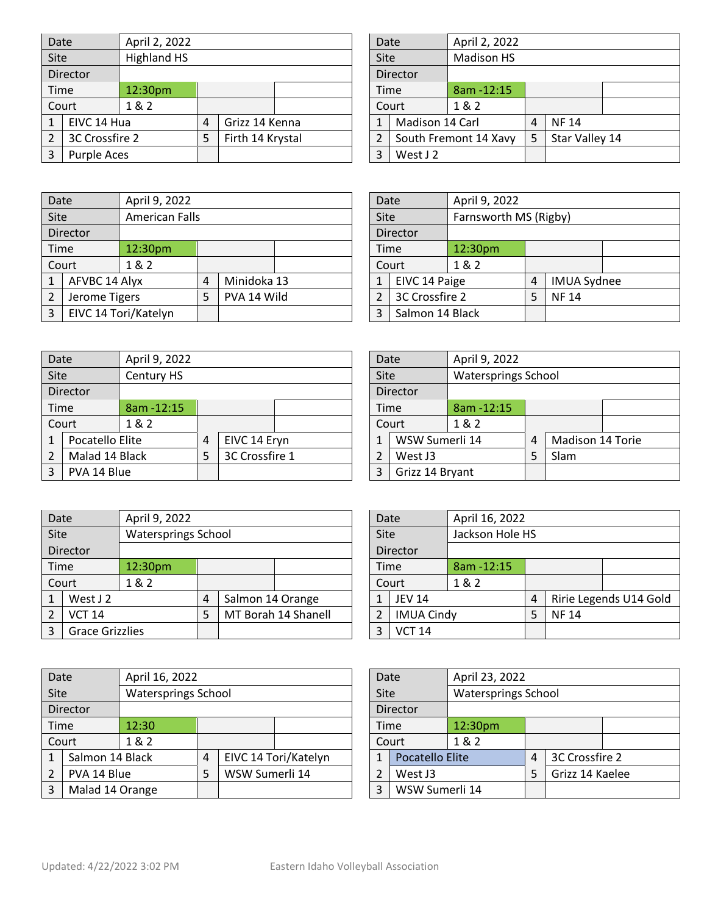| Date |                | April 2, 2022 |   |                  |  |  | Date  |                 | April 2, 2022         |   |                |  |
|------|----------------|---------------|---|------------------|--|--|-------|-----------------|-----------------------|---|----------------|--|
| Site |                | Highland HS   |   |                  |  |  | Site  |                 | <b>Madison HS</b>     |   |                |  |
|      | Director       |               |   |                  |  |  |       | Director        |                       |   |                |  |
|      | <b>Time</b>    | 12:30pm       |   |                  |  |  |       | Time            | 8am - 12:15           |   |                |  |
|      | Court          | 1&2           |   |                  |  |  | Court |                 | 1&2                   |   |                |  |
|      | EIVC 14 Hua    |               | 4 | Grizz 14 Kenna   |  |  |       | Madison 14 Carl |                       | 4 | <b>NF14</b>    |  |
|      | 3C Crossfire 2 |               | 5 | Firth 14 Krystal |  |  |       |                 | South Fremont 14 Xavy | 5 | Star Valley 14 |  |
|      | Purple Aces    |               |   |                  |  |  | 3     | West J 2        |                       |   |                |  |

| Date           |                 | April 2, 2022         |   |                |  |
|----------------|-----------------|-----------------------|---|----------------|--|
| Site           |                 | <b>Madison HS</b>     |   |                |  |
|                | Director        |                       |   |                |  |
| Time           |                 | 8am - 12:15           |   |                |  |
|                | Court           | 1 & 2                 |   |                |  |
| 1              | Madison 14 Carl |                       | 4 | <b>NF14</b>    |  |
| $\overline{2}$ |                 | South Fremont 14 Xavy | 5 | Star Valley 14 |  |
| 3              | West J 2        |                       |   |                |  |
|                |                 |                       |   |                |  |

| Date        |               | April 9, 2022         |   |             |  |   | Date            |                | April 9, 2022         |   |                    |  |
|-------------|---------------|-----------------------|---|-------------|--|---|-----------------|----------------|-----------------------|---|--------------------|--|
| <b>Site</b> |               | <b>American Falls</b> |   |             |  |   | Site            |                | Farnsworth MS (Rigby) |   |                    |  |
|             | Director      |                       |   |             |  |   |                 | Director       |                       |   |                    |  |
|             | <b>Time</b>   | 12:30pm               |   |             |  |   |                 | Time           | 12:30pm               |   |                    |  |
|             | Court         | 1 & 2                 |   |             |  |   | Court           |                | 1&2                   |   |                    |  |
|             | AFVBC 14 Alyx |                       | 4 | Minidoka 13 |  |   |                 | EIVC 14 Paige  |                       | 4 | <b>IMUA Sydnee</b> |  |
|             | Jerome Tigers |                       | 5 | PVA 14 Wild |  |   |                 | 3C Crossfire 2 |                       | 5 | <b>NF14</b>        |  |
|             |               | EIVC 14 Tori/Katelyn  |   |             |  | 3 | Salmon 14 Black |                |                       |   |                    |  |

| Date           |                 | April 9, 2022         |   |                    |  |  |  |  |  |
|----------------|-----------------|-----------------------|---|--------------------|--|--|--|--|--|
| Site           |                 | Farnsworth MS (Rigby) |   |                    |  |  |  |  |  |
|                | Director        |                       |   |                    |  |  |  |  |  |
| Time           |                 | 12:30pm               |   |                    |  |  |  |  |  |
|                | Court           | 1 & 2                 |   |                    |  |  |  |  |  |
| 1              | EIVC 14 Paige   |                       | 4 | <b>IMUA Sydnee</b> |  |  |  |  |  |
| $\mathfrak{p}$ | 3C Crossfire 2  |                       | 5 | <b>NF14</b>        |  |  |  |  |  |
| 3              | Salmon 14 Black |                       |   |                    |  |  |  |  |  |

| Date           |                 | April 9, 2022 |   |                |   |                 | Date |                | April 9, 2022              |   |                  |  |
|----------------|-----------------|---------------|---|----------------|---|-----------------|------|----------------|----------------------------|---|------------------|--|
| Site           |                 | Century HS    |   |                |   |                 | Site |                | <b>Watersprings School</b> |   |                  |  |
|                | Director        |               |   |                |   |                 |      | Director       |                            |   |                  |  |
| Time           |                 | 8am - 12:15   |   |                |   |                 | Time |                | $8am - 12:15$              |   |                  |  |
|                | Court           | 1&2           |   |                |   |                 |      | Court          | 1&2                        |   |                  |  |
|                | Pocatello Elite |               | 4 | EIVC 14 Eryn   |   | 1               |      | WSW Sumerli 14 |                            | 4 | Madison 14 Torie |  |
| $\overline{2}$ | Malad 14 Black  |               | 5 | 3C Crossfire 1 |   |                 | 2    | West J3        |                            |   | Slam             |  |
| 3              |                 | PVA 14 Blue   |   |                | 3 | Grizz 14 Bryant |      |                |                            |   |                  |  |

| Date           |                        | April 9, 2022              |   |                  |                     |               | Date          |                   | April 16, 2022  |   |                        |  |
|----------------|------------------------|----------------------------|---|------------------|---------------------|---------------|---------------|-------------------|-----------------|---|------------------------|--|
| Site           |                        | <b>Watersprings School</b> |   |                  |                     |               | Site          |                   | Jackson Hole HS |   |                        |  |
| Director       |                        |                            |   |                  |                     |               |               | Director          |                 |   |                        |  |
| Time           |                        | 12:30pm                    |   |                  |                     |               | <b>Time</b>   | $8am - 12:15$     |                 |   |                        |  |
|                | Court                  | 1 & 2                      |   |                  |                     | Court         |               | 1 & 2             |                 |   |                        |  |
| $\mathbf{1}$   | West J 2               |                            | 4 | Salmon 14 Orange |                     |               | <b>JEV 14</b> |                   |                 | 4 | Ririe Legends U14 Gold |  |
| $\overline{2}$ | <b>VCT 14</b>          |                            | 5 |                  | MT Borah 14 Shanell | $\mathcal{P}$ |               | <b>IMUA Cindy</b> |                 | 5 | <b>NF14</b>            |  |
| $\mathbf{3}$   | <b>Grace Grizzlies</b> |                            |   |                  |                     | 3             |               | <b>VCT 14</b>     |                 |   |                        |  |

| Date |                 |                            | April 16, 2022 |                |                      |                |                        | April 23, 2022<br>Date |                            |   |                 |  |  |
|------|-----------------|----------------------------|----------------|----------------|----------------------|----------------|------------------------|------------------------|----------------------------|---|-----------------|--|--|
| Site |                 | <b>Watersprings School</b> |                |                |                      |                | Site                   |                        | <b>Watersprings School</b> |   |                 |  |  |
|      | Director        |                            |                |                |                      |                |                        | Director               |                            |   |                 |  |  |
| Time |                 | 12:30                      |                |                |                      |                |                        | Time                   | 12:30 <sub>pm</sub>        |   |                 |  |  |
|      | Court           | 1&2                        |                |                |                      |                |                        | Court                  | 1 & 2                      |   |                 |  |  |
|      | Salmon 14 Black |                            | $\overline{4}$ |                | EIVC 14 Tori/Katelyn |                | <b>Pocatello Elite</b> |                        |                            | 4 | 3C Crossfire 2  |  |  |
|      | PVA 14 Blue     |                            | 5              | WSW Sumerli 14 |                      |                | West J3                |                        |                            |   | Grizz 14 Kaelee |  |  |
| 3    | Malad 14 Orange |                            |                |                |                      | WSW Sumerli 14 |                        |                        |                            |   |                 |  |  |

| Date                               |                 | April 9, 2022 |   |                  |  |
|------------------------------------|-----------------|---------------|---|------------------|--|
| <b>Watersprings School</b><br>Site |                 |               |   |                  |  |
|                                    | Director        |               |   |                  |  |
| Time                               |                 | 8am - 12:15   |   |                  |  |
| Court                              |                 | 1 & 2         |   |                  |  |
| 1                                  | WSW Sumerli 14  |               | 4 | Madison 14 Torie |  |
| $\mathfrak{p}$                     | West J3         |               | 5 | Slam             |  |
| 3                                  | Grizz 14 Bryant |               |   |                  |  |

| Date  |                   | April 16, 2022  |   |             |                        |
|-------|-------------------|-----------------|---|-------------|------------------------|
| Site  |                   | Jackson Hole HS |   |             |                        |
|       | Director          |                 |   |             |                        |
| Time  |                   | 8am - 12:15     |   |             |                        |
| Court |                   | 1&2             |   |             |                        |
| 1     | <b>JEV 14</b>     |                 | 4 |             | Ririe Legends U14 Gold |
| 2     | <b>IMUA Cindy</b> |                 | 5 | <b>NF14</b> |                        |
| 3     | <b>VCT 14</b>     |                 |   |             |                        |

| Date           |                 | April 23, 2022             |   |                 |  |
|----------------|-----------------|----------------------------|---|-----------------|--|
| Site           |                 | <b>Watersprings School</b> |   |                 |  |
|                | Director        |                            |   |                 |  |
| Time           |                 | 12:30pm                    |   |                 |  |
| Court          |                 | 1 & 2                      |   |                 |  |
| 1              | Pocatello Elite |                            | 4 | 3C Crossfire 2  |  |
| $\overline{2}$ | West J3         |                            | 5 | Grizz 14 Kaelee |  |
| 3              | WSW Sumerli 14  |                            |   |                 |  |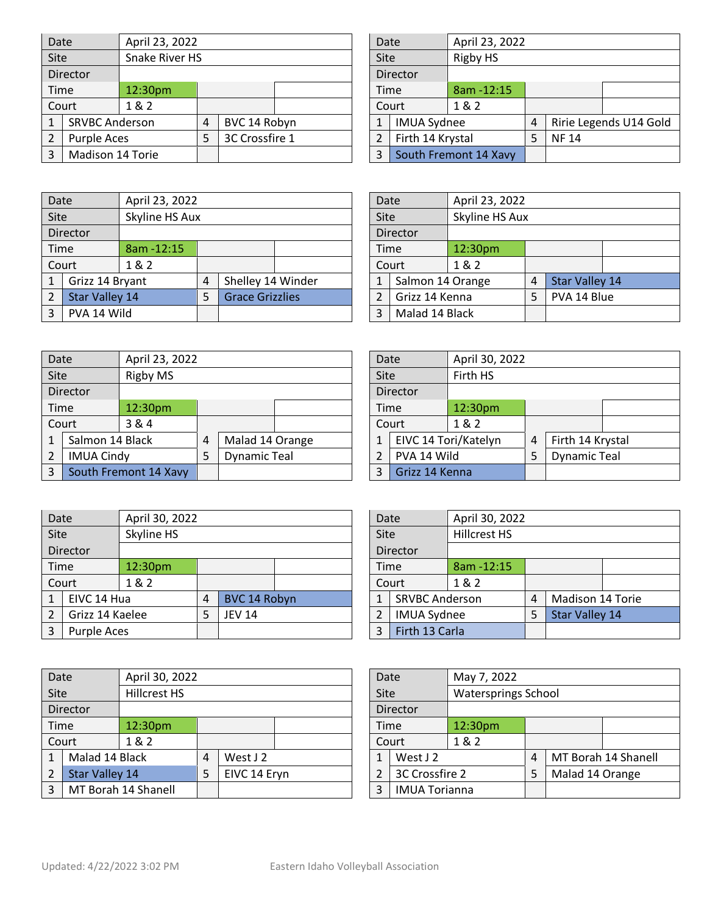| Date |                       | April 23, 2022 |   |                |  | Date                  |                       | April 23, 2022 |   |             |                        |  |
|------|-----------------------|----------------|---|----------------|--|-----------------------|-----------------------|----------------|---|-------------|------------------------|--|
| Site |                       | Snake River HS |   |                |  | Site                  |                       | Rigby HS       |   |             |                        |  |
|      | Director              |                |   |                |  |                       | Director              |                |   |             |                        |  |
|      | Time                  | 12:30pm        |   |                |  | Time                  |                       | 8am - 12:15    |   |             |                        |  |
|      | Court                 | 1&2            |   |                |  | Court                 |                       | 1&2            |   |             |                        |  |
|      | <b>SRVBC Anderson</b> |                | 4 | BVC 14 Robyn   |  | $\mathbf{1}$          | <b>IMUA Sydnee</b>    |                | 4 |             | Ririe Legends U14 Gold |  |
|      | Purple Aces           |                |   | 3C Crossfire 1 |  | Firth 14 Krystal<br>2 |                       |                |   | <b>NF14</b> |                        |  |
| 3    | Madison 14 Torie      |                |   |                |  | 3                     | South Fremont 14 Xavy |                |   |             |                        |  |

| Date           |                    | April 23, 2022        |   |             |                        |
|----------------|--------------------|-----------------------|---|-------------|------------------------|
| Site           |                    | <b>Rigby HS</b>       |   |             |                        |
|                | <b>Director</b>    |                       |   |             |                        |
| Time           |                    | 8am - 12:15           |   |             |                        |
|                | Court              | 1 & 2                 |   |             |                        |
| 1              | <b>IMUA Sydnee</b> |                       | 4 |             | Ririe Legends U14 Gold |
| $\overline{2}$ | Firth 14 Krystal   |                       | 5 | <b>NF14</b> |                        |
| 3              |                    | South Fremont 14 Xavy |   |             |                        |

| Date |                       | April 23, 2022 |   |                        |                     | Date            |                  | April 23, 2022 |   |                       |  |
|------|-----------------------|----------------|---|------------------------|---------------------|-----------------|------------------|----------------|---|-----------------------|--|
| Site |                       | Skyline HS Aux |   |                        |                     | Site            |                  | Skyline HS Aux |   |                       |  |
|      | Director              |                |   |                        |                     | <b>Director</b> |                  |                |   |                       |  |
| Time |                       | 8am - 12:15    |   |                        |                     | Time            |                  | 12:30pm        |   |                       |  |
|      | Court                 | 1 & 2          |   |                        |                     | Court           |                  | 1&2            |   |                       |  |
|      | Grizz 14 Bryant       |                | 4 | Shelley 14 Winder      |                     |                 | Salmon 14 Orange |                | 4 | <b>Star Valley 14</b> |  |
|      | <b>Star Valley 14</b> |                | 5 | <b>Grace Grizzlies</b> |                     | Grizz 14 Kenna  |                  |                | 5 | PVA 14 Blue           |  |
|      | PVA 14 Wild           |                |   |                        | Malad 14 Black<br>3 |                 |                  |                |   |                       |  |

| Skyline HS Aux<br>Site<br>Director<br>Time<br>12:30pm<br>1 & 2<br>Court<br><b>Star Valley 14</b><br>Salmon 14 Orange<br>1 | Date |  | April 23, 2022 |   |  |  |  |  |
|---------------------------------------------------------------------------------------------------------------------------|------|--|----------------|---|--|--|--|--|
|                                                                                                                           |      |  |                |   |  |  |  |  |
|                                                                                                                           |      |  |                |   |  |  |  |  |
|                                                                                                                           |      |  |                |   |  |  |  |  |
|                                                                                                                           |      |  |                |   |  |  |  |  |
|                                                                                                                           |      |  |                | 4 |  |  |  |  |
| PVA 14 Blue<br>Grizz 14 Kenna<br>$\mathcal{P}$<br>5                                                                       |      |  |                |   |  |  |  |  |
| Malad 14 Black<br>3                                                                                                       |      |  |                |   |  |  |  |  |

Date April 30, 2022

| Date |                   | April 23, 2022        |                |                     |  | Date                |       | April 30, 2022       |   |                     |  |
|------|-------------------|-----------------------|----------------|---------------------|--|---------------------|-------|----------------------|---|---------------------|--|
| Site |                   | Rigby MS              |                |                     |  | Site                |       | Firth HS             |   |                     |  |
|      | Director          |                       |                |                     |  | Director            |       |                      |   |                     |  |
| Time |                   | 12:30pm               |                |                     |  | Time                |       | 12:30pm              |   |                     |  |
|      | Court             | 3&4                   |                |                     |  |                     | Court | 1&2                  |   |                     |  |
|      | Salmon 14 Black   |                       | $\overline{4}$ | Malad 14 Orange     |  |                     |       | EIVC 14 Tori/Katelyn | 4 | Firth 14 Krystal    |  |
| 2    | <b>IMUA Cindy</b> |                       | 5              | <b>Dynamic Teal</b> |  | PVA 14 Wild         |       |                      | 5 | <b>Dynamic Teal</b> |  |
| 3    |                   | South Fremont 14 Xavy |                |                     |  | Grizz 14 Kenna<br>3 |       |                      |   |                     |  |

| $\mathbf{1}$          | EIVC 14 Tori/Katelyn<br>PVA 14 Wild<br>Grizz 14 Kenna |                     | 4 | Firth 14 Krystal    |
|-----------------------|-------------------------------------------------------|---------------------|---|---------------------|
| 2                     |                                                       |                     | 5 | <b>Dynamic Teal</b> |
| 3                     |                                                       |                     |   |                     |
|                       |                                                       |                     |   |                     |
|                       |                                                       |                     |   |                     |
| Date                  |                                                       | April 30, 2022      |   |                     |
| Site                  |                                                       | <b>Hillcrest HS</b> |   |                     |
| Director              |                                                       |                     |   |                     |
| $8$ am -12:15<br>Time |                                                       |                     |   |                     |

1 SRVBC Anderson 4 Madison 14 Torie<br>2 IMUA Sydnee 5 Star Valley 14

2 IMUA Sydnee 5

| Date           |                    | April 30, 2022 |   |               |  | Date |                       | April 30, 2022      |
|----------------|--------------------|----------------|---|---------------|--|------|-----------------------|---------------------|
| Site           |                    | Skyline HS     |   |               |  | Site |                       | <b>Hillcrest HS</b> |
|                | <b>Director</b>    |                |   |               |  |      | Director              |                     |
| Time           |                    | 12:30pm        |   |               |  |      | Time                  | 8am - 12:15         |
|                | 1&2<br>Court       |                |   |               |  |      | Court                 | 1 & 2               |
|                | EIVC 14 Hua        |                | 4 | BVC 14 Robyn  |  | 1    | <b>SRVBC Anderson</b> |                     |
| $\overline{2}$ | Grizz 14 Kaelee    |                | 5 | <b>JEV 14</b> |  | 2    | <b>IMUA Sydnee</b>    |                     |
| 3              | <b>Purple Aces</b> |                |   |               |  | 3    | Firth 13 Carla        |                     |

| Date |                       | April 30, 2022      |   |              |  | Date                 |          | May 7, 2022                |   |                 |                     |
|------|-----------------------|---------------------|---|--------------|--|----------------------|----------|----------------------------|---|-----------------|---------------------|
| Site |                       | Hillcrest HS        |   |              |  | Site                 |          | <b>Watersprings School</b> |   |                 |                     |
|      | Director              |                     |   |              |  | Director             |          |                            |   |                 |                     |
|      | Time                  | 12:30pm             |   |              |  | Time                 |          | 12:30pm                    |   |                 |                     |
|      | Court                 | 1&2                 |   |              |  |                      | Court    | 1&2                        |   |                 |                     |
|      | Malad 14 Black        |                     | 4 | West $J2$    |  |                      | West J 2 |                            | 4 |                 | MT Borah 14 Shanell |
|      | <b>Star Valley 14</b> |                     | 5 | EIVC 14 Eryn |  | 3C Crossfire 2       |          |                            | 5 | Malad 14 Orange |                     |
| 3    |                       | MT Borah 14 Shanell |   |              |  | <b>IMUA Torianna</b> |          |                            |   |                 |                     |

| Date           |                      | May 7, 2022                |   |                 |                     |
|----------------|----------------------|----------------------------|---|-----------------|---------------------|
| Site           |                      | <b>Watersprings School</b> |   |                 |                     |
|                | Director             |                            |   |                 |                     |
|                | 12:30pm<br>Time      |                            |   |                 |                     |
| 1 & 2<br>Court |                      |                            |   |                 |                     |
| 1              | West J 2             |                            | 4 |                 | MT Borah 14 Shanell |
| $\overline{2}$ | 3C Crossfire 2       |                            | 5 | Malad 14 Orange |                     |
| 3              | <b>IMUA Torianna</b> |                            |   |                 |                     |